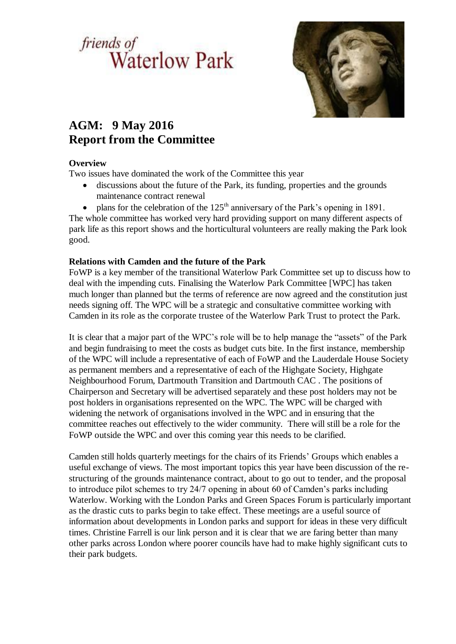# *friends of*<br>Waterlow Park



# **AGM: 9 May 2016 Report from the Committee**

# **Overview**

Two issues have dominated the work of the Committee this year

- discussions about the future of the Park, its funding, properties and the grounds maintenance contract renewal
- plans for the celebration of the  $125<sup>th</sup>$  anniversary of the Park's opening in 1891.

The whole committee has worked very hard providing support on many different aspects of park life as this report shows and the horticultural volunteers are really making the Park look good.

# **Relations with Camden and the future of the Park**

FoWP is a key member of the transitional Waterlow Park Committee set up to discuss how to deal with the impending cuts. Finalising the Waterlow Park Committee [WPC] has taken much longer than planned but the terms of reference are now agreed and the constitution just needs signing off. The WPC will be a strategic and consultative committee working with Camden in its role as the corporate trustee of the Waterlow Park Trust to protect the Park.

It is clear that a major part of the WPC's role will be to help manage the "assets" of the Park and begin fundraising to meet the costs as budget cuts bite. In the first instance, membership of the WPC will include a representative of each of FoWP and the Lauderdale House Society as permanent members and a representative of each of the Highgate Society, Highgate Neighbourhood Forum, Dartmouth Transition and Dartmouth CAC . The positions of Chairperson and Secretary will be advertised separately and these post holders may not be post holders in organisations represented on the WPC. The WPC will be charged with widening the network of organisations involved in the WPC and in ensuring that the committee reaches out effectively to the wider community. There will still be a role for the FoWP outside the WPC and over this coming year this needs to be clarified.

Camden still holds quarterly meetings for the chairs of its Friends' Groups which enables a useful exchange of views. The most important topics this year have been discussion of the restructuring of the grounds maintenance contract, about to go out to tender, and the proposal to introduce pilot schemes to try 24/7 opening in about 60 of Camden's parks including Waterlow. Working with the London Parks and Green Spaces Forum is particularly important as the drastic cuts to parks begin to take effect. These meetings are a useful source of information about developments in London parks and support for ideas in these very difficult times. Christine Farrell is our link person and it is clear that we are faring better than many other parks across London where poorer councils have had to make highly significant cuts to their park budgets.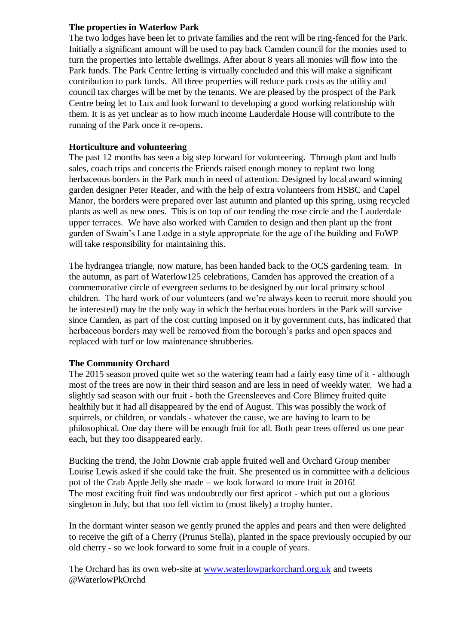#### **The properties in Waterlow Park**

The two lodges have been let to private families and the rent will be ring-fenced for the Park. Initially a significant amount will be used to pay back Camden council for the monies used to turn the properties into lettable dwellings. After about 8 years all monies will flow into the Park funds. The Park Centre letting is virtually concluded and this will make a significant contribution to park funds. All three properties will reduce park costs as the utility and council tax charges will be met by the tenants. We are pleased by the prospect of the Park Centre being let to Lux and look forward to developing a good working relationship with them. It is as yet unclear as to how much income Lauderdale House will contribute to the running of the Park once it re-opens**.**

#### **Horticulture and volunteering**

The past 12 months has seen a big step forward for volunteering. Through plant and bulb sales, coach trips and concerts the Friends raised enough money to replant two long herbaceous borders in the Park much in need of attention. Designed by local award winning garden designer Peter Reader, and with the help of extra volunteers from HSBC and Capel Manor, the borders were prepared over last autumn and planted up this spring, using recycled plants as well as new ones. This is on top of our tending the rose circle and the Lauderdale upper terraces. We have also worked with Camden to design and then plant up the front garden of Swain's Lane Lodge in a style appropriate for the age of the building and FoWP will take responsibility for maintaining this.

The hydrangea triangle, now mature, has been handed back to the OCS gardening team. In the autumn, as part of Waterlow125 celebrations, Camden has approved the creation of a commemorative circle of evergreen sedums to be designed by our local primary school children. The hard work of our volunteers (and we're always keen to recruit more should you be interested) may be the only way in which the herbaceous borders in the Park will survive since Camden, as part of the cost cutting imposed on it by government cuts, has indicated that herbaceous borders may well be removed from the borough's parks and open spaces and replaced with turf or low maintenance shrubberies.

# **The Community Orchard**

The 2015 season proved quite wet so the watering team had a fairly easy time of it - although most of the trees are now in their third season and are less in need of weekly water. We had a slightly sad season with our fruit - both the Greensleeves and Core Blimey fruited quite healthily but it had all disappeared by the end of August. This was possibly the work of squirrels, or children, or vandals - whatever the cause, we are having to learn to be philosophical. One day there will be enough fruit for all. Both pear trees offered us one pear each, but they too disappeared early.

Bucking the trend, the John Downie crab apple fruited well and Orchard Group member Louise Lewis asked if she could take the fruit. She presented us in committee with a delicious pot of the Crab Apple Jelly she made – we look forward to more fruit in 2016! The most exciting fruit find was undoubtedly our first apricot - which put out a glorious singleton in July, but that too fell victim to (most likely) a trophy hunter.

In the dormant winter season we gently pruned the apples and pears and then were delighted to receive the gift of a Cherry (Prunus Stella), planted in the space previously occupied by our old cherry - so we look forward to some fruit in a couple of years.

The Orchard has its own web-site at [www.waterlowparkorchard.org.uk](http://www.waterlowparkorchard.org.uk/) and tweets @WaterlowPkOrchd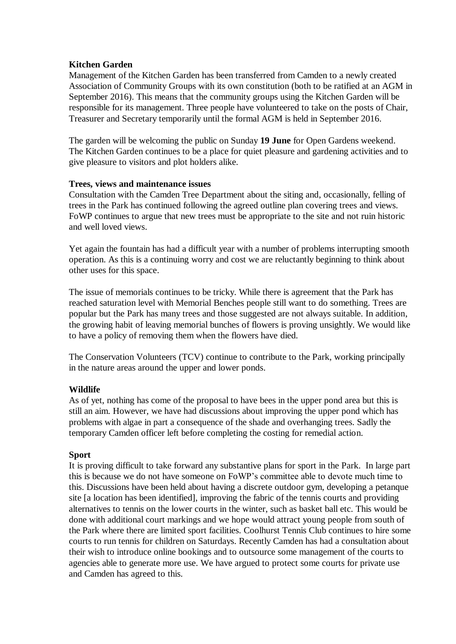# **Kitchen Garden**

Management of the Kitchen Garden has been transferred from Camden to a newly created Association of Community Groups with its own constitution (both to be ratified at an AGM in September 2016). This means that the community groups using the Kitchen Garden will be responsible for its management. Three people have volunteered to take on the posts of Chair, Treasurer and Secretary temporarily until the formal AGM is held in September 2016.

The garden will be welcoming the public on Sunday **19 June** for Open Gardens weekend. The Kitchen Garden continues to be a place for quiet pleasure and gardening activities and to give pleasure to visitors and plot holders alike.

#### **Trees, views and maintenance issues**

Consultation with the Camden Tree Department about the siting and, occasionally, felling of trees in the Park has continued following the agreed outline plan covering trees and views. FoWP continues to argue that new trees must be appropriate to the site and not ruin historic and well loved views.

Yet again the fountain has had a difficult year with a number of problems interrupting smooth operation. As this is a continuing worry and cost we are reluctantly beginning to think about other uses for this space.

The issue of memorials continues to be tricky. While there is agreement that the Park has reached saturation level with Memorial Benches people still want to do something. Trees are popular but the Park has many trees and those suggested are not always suitable. In addition, the growing habit of leaving memorial bunches of flowers is proving unsightly. We would like to have a policy of removing them when the flowers have died.

The Conservation Volunteers (TCV) continue to contribute to the Park, working principally in the nature areas around the upper and lower ponds.

# **Wildlife**

As of yet, nothing has come of the proposal to have bees in the upper pond area but this is still an aim. However, we have had discussions about improving the upper pond which has problems with algae in part a consequence of the shade and overhanging trees. Sadly the temporary Camden officer left before completing the costing for remedial action.

# **Sport**

It is proving difficult to take forward any substantive plans for sport in the Park. In large part this is because we do not have someone on FoWP's committee able to devote much time to this. Discussions have been held about having a discrete outdoor gym, developing a petanque site [a location has been identified], improving the fabric of the tennis courts and providing alternatives to tennis on the lower courts in the winter, such as basket ball etc. This would be done with additional court markings and we hope would attract young people from south of the Park where there are limited sport facilities. Coolhurst Tennis Club continues to hire some courts to run tennis for children on Saturdays. Recently Camden has had a consultation about their wish to introduce online bookings and to outsource some management of the courts to agencies able to generate more use. We have argued to protect some courts for private use and Camden has agreed to this.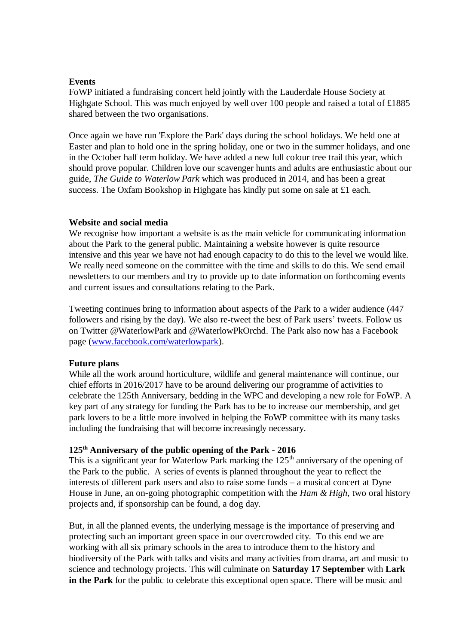#### **Events**

FoWP initiated a fundraising concert held jointly with the Lauderdale House Society at Highgate School. This was much enjoyed by well over 100 people and raised a total of £1885 shared between the two organisations.

Once again we have run 'Explore the Park' days during the school holidays. We held one at Easter and plan to hold one in the spring holiday, one or two in the summer holidays, and one in the October half term holiday. We have added a new full colour tree trail this year, which should prove popular. Children love our scavenger hunts and adults are enthusiastic about our guide, *The Guide to Waterlow Park* which was produced in 2014, and has been a great success. The Oxfam Bookshop in Highgate has kindly put some on sale at £1 each.

#### **Website and social media**

We recognise how important a website is as the main vehicle for communicating information about the Park to the general public. Maintaining a website however is quite resource intensive and this year we have not had enough capacity to do this to the level we would like. We really need someone on the committee with the time and skills to do this. We send email newsletters to our members and try to provide up to date information on forthcoming events and current issues and consultations relating to the Park.

Tweeting continues bring to information about aspects of the Park to a wider audience (447 followers and rising by the day). We also re-tweet the best of Park users' tweets. Follow us on Twitter @WaterlowPark and @WaterlowPkOrchd. The Park also now has a Facebook page [\(www.facebook.com/waterlowpark\)](http://www.facebook.com/waterlowpark).

#### **Future plans**

While all the work around horticulture, wildlife and general maintenance will continue, our chief efforts in 2016/2017 have to be around delivering our programme of activities to celebrate the 125th Anniversary, bedding in the WPC and developing a new role for FoWP. A key part of any strategy for funding the Park has to be to increase our membership, and get park lovers to be a little more involved in helping the FoWP committee with its many tasks including the fundraising that will become increasingly necessary.

#### **125th Anniversary of the public opening of the Park - 2016**

This is a significant year for Waterlow Park marking the  $125<sup>th</sup>$  anniversary of the opening of the Park to the public. A series of events is planned throughout the year to reflect the interests of different park users and also to raise some funds – a musical concert at Dyne House in June, an on-going photographic competition with the *Ham & High*, two oral history projects and, if sponsorship can be found, a dog day.

But, in all the planned events, the underlying message is the importance of preserving and protecting such an important green space in our overcrowded city. To this end we are working with all six primary schools in the area to introduce them to the history and biodiversity of the Park with talks and visits and many activities from drama, art and music to science and technology projects. This will culminate on **Saturday 17 September** with **Lark in the Park** for the public to celebrate this exceptional open space. There will be music and